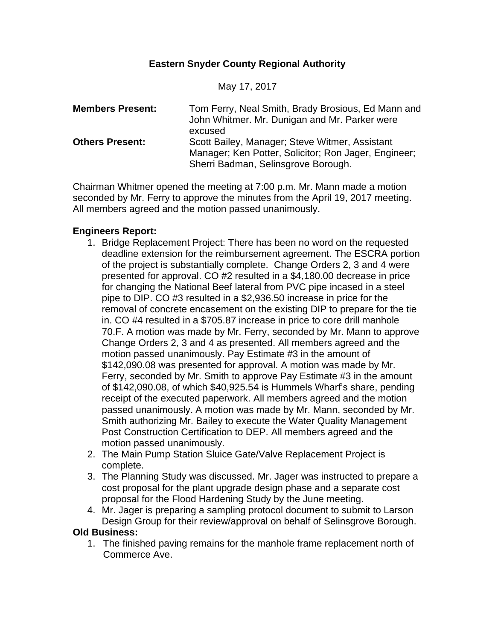# **Eastern Snyder County Regional Authority**

May 17, 2017

| <b>Members Present:</b> | Tom Ferry, Neal Smith, Brady Brosious, Ed Mann and<br>John Whitmer. Mr. Dunigan and Mr. Parker were<br>excused                                |
|-------------------------|-----------------------------------------------------------------------------------------------------------------------------------------------|
| <b>Others Present:</b>  | Scott Bailey, Manager; Steve Witmer, Assistant<br>Manager; Ken Potter, Solicitor; Ron Jager, Engineer;<br>Sherri Badman, Selinsgrove Borough. |

Chairman Whitmer opened the meeting at 7:00 p.m. Mr. Mann made a motion seconded by Mr. Ferry to approve the minutes from the April 19, 2017 meeting. All members agreed and the motion passed unanimously.

### **Engineers Report:**

- 1. Bridge Replacement Project: There has been no word on the requested deadline extension for the reimbursement agreement. The ESCRA portion of the project is substantially complete. Change Orders 2, 3 and 4 were presented for approval. CO #2 resulted in a \$4,180.00 decrease in price for changing the National Beef lateral from PVC pipe incased in a steel pipe to DIP. CO #3 resulted in a \$2,936.50 increase in price for the removal of concrete encasement on the existing DIP to prepare for the tie in. CO #4 resulted in a \$705.87 increase in price to core drill manhole 70.F. A motion was made by Mr. Ferry, seconded by Mr. Mann to approve Change Orders 2, 3 and 4 as presented. All members agreed and the motion passed unanimously. Pay Estimate #3 in the amount of \$142,090.08 was presented for approval. A motion was made by Mr. Ferry, seconded by Mr. Smith to approve Pay Estimate #3 in the amount of \$142,090.08, of which \$40,925.54 is Hummels Wharf's share, pending receipt of the executed paperwork. All members agreed and the motion passed unanimously. A motion was made by Mr. Mann, seconded by Mr. Smith authorizing Mr. Bailey to execute the Water Quality Management Post Construction Certification to DEP. All members agreed and the motion passed unanimously.
- 2. The Main Pump Station Sluice Gate/Valve Replacement Project is complete.
- 3. The Planning Study was discussed. Mr. Jager was instructed to prepare a cost proposal for the plant upgrade design phase and a separate cost proposal for the Flood Hardening Study by the June meeting.
- 4. Mr. Jager is preparing a sampling protocol document to submit to Larson Design Group for their review/approval on behalf of Selinsgrove Borough.

**Old Business:**

1. The finished paving remains for the manhole frame replacement north of Commerce Ave.